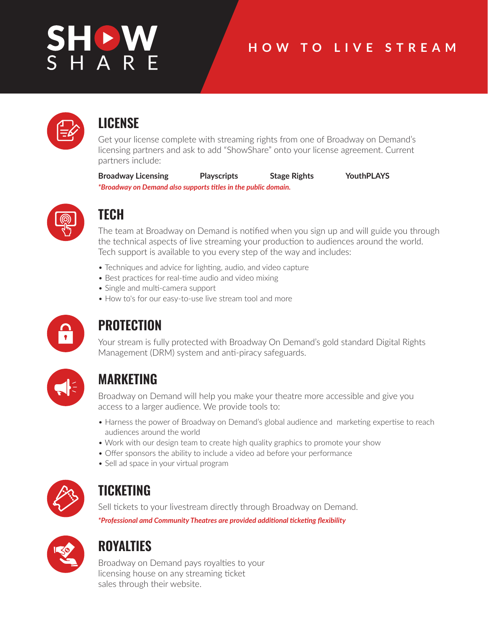# HOV<br>H A R

## **HOW TO LIVE STREAM**



## **LICENSE**

Get your license complete with streaming rights from one of Broadway on Demand's licensing partners and ask to add "ShowShare" onto your license agreement. Current partners include:

**Broadway Licensing Playscripts Stage Rights YouthPLAYS** *\*Broadway on Demand also supports titles in the public domain.*



# **TECH**

The team at Broadway on Demand is notified when you sign up and will guide you through the technical aspects of live streaming your production to audiences around the world. Tech support is available to you every step of the way and includes:

- Techniques and advice for lighting, audio, and video capture
- Best practices for real-time audio and video mixing
- Single and multi-camera support
- How to's for our easy-to-use live stream tool and more



# **PROTECTION**

Your stream is fully protected with Broadway On Demand's gold standard Digital Rights Management (DRM) system and anti-piracy safeguards.



# **MARKETING**

Broadway on Demand will help you make your theatre more accessible and give you access to a larger audience. We provide tools to:

- Harness the power of Broadway on Demand's global audience and marketing expertise to reach audiences around the world
- Work with our design team to create high quality graphics to promote your show
- Offer sponsors the ability to include a video ad before your performance
- Sell ad space in your virtual program



# **TICKETING**

Sell tickets to your livestream directly through Broadway on Demand. *\*Professional amd Community Theatres are provided additional ticketing flexibility*



# **ROYALTIES**

Broadway on Demand pays royalties to your licensing house on any streaming ticket sales through their website.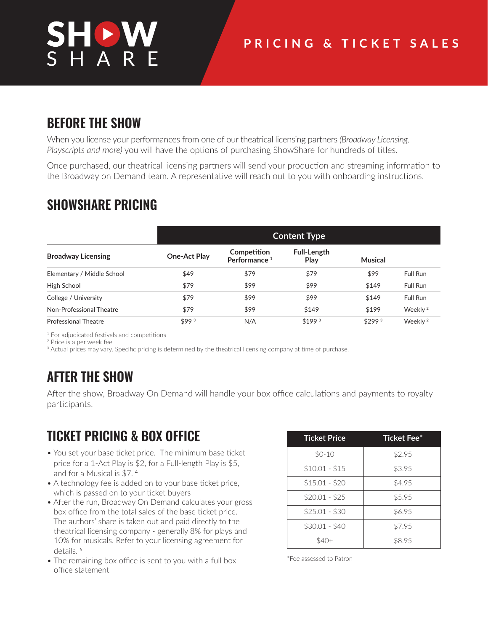# **BEFORE THE SHOW**

When you license your performances from one of our theatrical licensing partners *(Broadway Licensing, Playscripts and more)* you will have the options of purchasing ShowShare for hundreds of titles.

Once purchased, our theatrical licensing partners will send your production and streaming information to the Broadway on Demand team. A representative will reach out to you with onboarding instructions.

## **SHOWSHARE PRICING**

|                             |              | <b>Content Type</b>                     |                     |                    |                     |  |
|-----------------------------|--------------|-----------------------------------------|---------------------|--------------------|---------------------|--|
| <b>Broadway Licensing</b>   | One-Act Play | Competition<br>Performance <sup>1</sup> | Full-Length<br>Play | Musical            |                     |  |
| Elementary / Middle School  | \$49         | \$79                                    | \$79                | \$99               | Full Run            |  |
| High School                 | \$79         | \$99                                    | \$99                | \$149              | Full Run            |  |
| College / University        | \$79         | \$99                                    | \$99                | \$149              | Full Run            |  |
| Non-Professional Theatre    | \$79         | \$99                                    | \$149               | \$199              | Weekly <sup>2</sup> |  |
| <b>Professional Theatre</b> | \$993        | N/A                                     | \$199 <sup>3</sup>  | \$299 <sup>3</sup> | Weekly <sup>2</sup> |  |

<sup>1</sup> For adjudicated festivals and competitions

2 Price is a per week fee

<sup>3</sup> Actual prices may vary. Specific pricing is determined by the theatrical licensing company at time of purchase.

## **AFTER THE SHOW**

After the show, Broadway On Demand will handle your box office calculations and payments to royalty participants.

## **TICKET PRICING & BOX OFFICE**

- You set your base ticket price. The minimum base ticket price for a 1-Act Play is \$2, for a Full-length Play is \$5, • and for a Musical is \$7. <sup>4</sup>
- A technology fee is added on to your base ticket price, which is passed on to your ticket buyers
- After the run, Broadway On Demand calculates your gross box office from the total sales of the base ticket price. The authors' share is taken out and paid directly to the • theatrical licensing company - generally 8% for plays and 10% for musicals. Refer to your licensing agreement for • details. <sup>5</sup>
- The remaining box office is sent to you with a full box • office statement

| <b>Ticket Price</b> | <b>Ticket Fee*</b> |  |  |
|---------------------|--------------------|--|--|
| $$0-10$             | \$2.95             |  |  |
| $$10.01 - $15$      | \$3.95             |  |  |
| $$15.01 - $20$      | \$4.95             |  |  |
| $$20.01 - $25$      | \$5.95             |  |  |
| $$25.01 - $30$      | \$6.95             |  |  |
| $$30.01 - $40$      | \$7.95             |  |  |
|                     | \$8.95             |  |  |

\*Fee assessed to Patron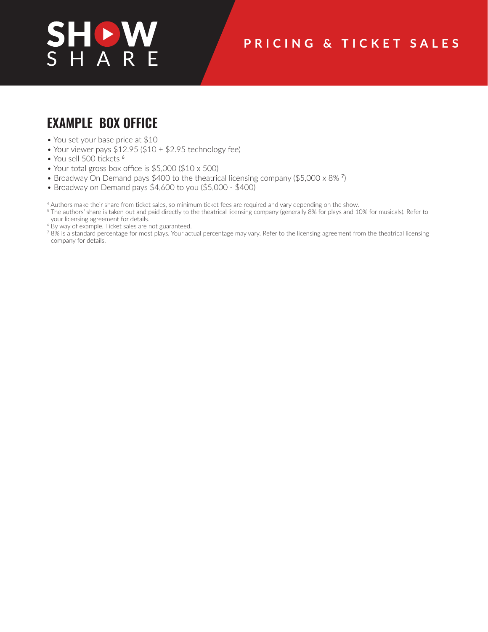## **PRICING & TICKET SALES**

## **EXAMPLE BOX OFFICE**

- You set your base price at \$10
- Your viewer pays \$12.95 (\$10 + \$2.95 technology fee)
- You sell 500 tickets <sup>6</sup>
- Your total gross box office is \$5,000 (\$10 x 500)
- Broadway On Demand pays \$400 to the theatrical licensing company (\$5,000 x 8% <sup>7</sup>)
- Broadway on Demand pays \$4,600 to you (\$5,000 \$400)

4 Authors make their share from ticket sales, so minimum ticket fees are required and vary depending on the show.

- <sup>5</sup> The authors' share is taken out and paid directly to the theatrical licensing company (generally 8% for plays and 10% for musicals). Refer to your licensing agreement for details.
- <sup>6</sup> By way of example. Ticket sales are not guaranteed.
- 7 8% is a standard percentage for most plays. Your actual percentage may vary. Refer to the licensing agreement from the theatrical licensing company for details.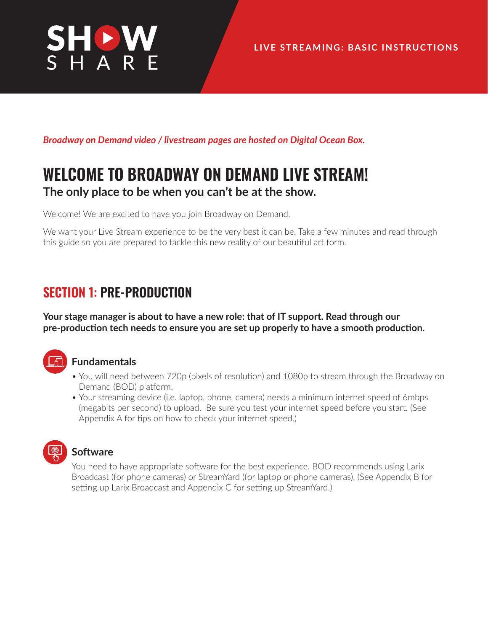

*Broadway on Demand video / livestream pages are hosted on Digital Ocean Box.*

# **WELCOME TO BROADWAY ON DEMAND LIVE STREAM! The only place to be when you can't be at the show.**

Welcome! We are excited to have you join Broadway on Demand.

We want your Live Stream experience to be the very best it can be. Take a few minutes and read through this guide so you are prepared to tackle this new reality of our beautiful art form.

## **SECTION 1: PRE-PRODUCTION**

**Your stage manager is about to have a new role: that of IT support. Read through our pre-production tech needs to ensure you are set up properly to have a smooth production.** 



## **Fundamentals**

- You will need between 720p (pixels of resolution) and 1080p to stream through the Broadway on Demand (BOD) platform.
- Your streaming device (i.e. laptop, phone, camera) needs a minimum internet speed of 6mbps (megabits per second) to upload. Be sure you test your internet speed before you start. (See Appendix A for tips on how to check your internet speed.)

## **Software**

You need to have appropriate software for the best experience. BOD recommends using Larix Broadcast (for phone cameras) or StreamYard (for laptop or phone cameras). (See Appendix B for setting up Larix Broadcast and Appendix C for setting up StreamYard.)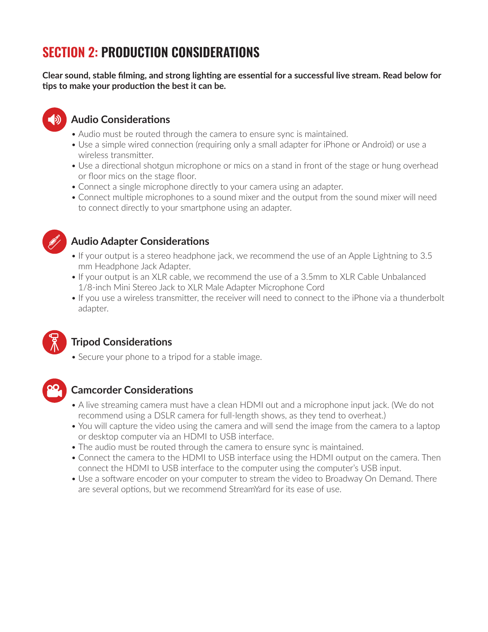# **SECTION 2: PRODUCTION CONSIDERATIONS**

**Clear sound, stable filming, and strong lighting are essential for a successful live stream. Read below for tips to make your production the best it can be.**



## **Audio Considerations**

- Audio must be routed through the camera to ensure sync is maintained.
- Use a simple wired connection (requiring only a small adapter for iPhone or Android) or use a wireless transmitter.
- Use a directional shotgun microphone or mics on a stand in front of the stage or hung overhead or floor mics on the stage floor.
- Connect a single microphone directly to your camera using an adapter.
- Connect multiple microphones to a sound mixer and the output from the sound mixer will need to connect directly to your smartphone using an adapter.



## **Audio Adapter Considerations**

- If your output is a stereo headphone jack, we recommend the use of an Apple Lightning to 3.5 mm Headphone Jack Adapter.
- If your output is an XLR cable, we recommend the use of a 3.5mm to XLR Cable Unbalanced 1/8-inch Mini Stereo Jack to XLR Male Adapter Microphone Cord
- If you use a wireless transmitter, the receiver will need to connect to the iPhone via a thunderbolt adapter.



## **Tripod Considerations**

• Secure your phone to a tripod for a stable image.



## **Camcorder Considerations**

- A live streaming camera must have a clean HDMI out and a microphone input jack. (We do not recommend using a DSLR camera for full-length shows, as they tend to overheat.)
- You will capture the video using the camera and will send the image from the camera to a laptop or desktop computer via an HDMI to USB interface.
- The audio must be routed through the camera to ensure sync is maintained.
- Connect the camera to the HDMI to USB interface using the HDMI output on the camera. Then connect the HDMI to USB interface to the computer using the computer's USB input.
- Use a software encoder on your computer to stream the video to Broadway On Demand. There are several options, but we recommend StreamYard for its ease of use.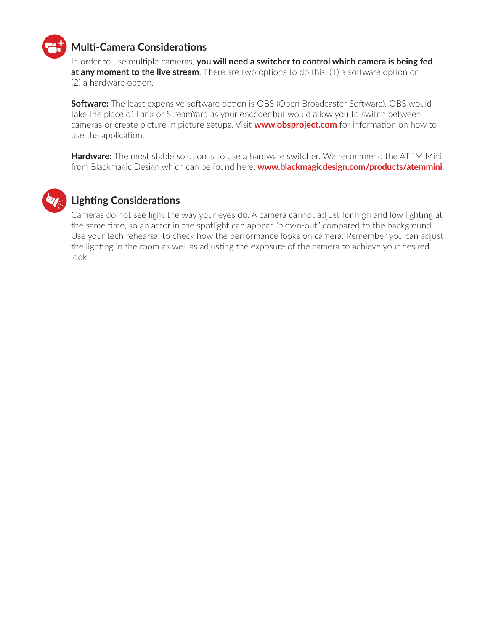

## **Multi-Camera Considerations**

In order to use multiple cameras, **you will need a switcher to control which camera is being fed at any moment to the live stream**. There are two options to do this: (1) a software option or (2) a hardware option.

**Software:** The least expensive software option is OBS (Open Broadcaster Software). OBS would take the place of Larix or StreamYard as your encoder but would allow you to switch between cameras or create picture in picture setups. Visit **www.obsproject.com** for information on how to use the application.

**Hardware:** The most stable solution is to use a hardware switcher. We recommend the ATEM Mini from Blackmagic Design which can be found here: **www.blackmagicdesign.com/products/atemmini**.



## **Lighting Considerations**

Cameras do not see light the way your eyes do. A camera cannot adjust for high and low lighting at the same time, so an actor in the spotlight can appear "blown-out" compared to the background. Use your tech rehearsal to check how the performance looks on camera. Remember you can adjust the lighting in the room as well as adjusting the exposure of the camera to achieve your desired look.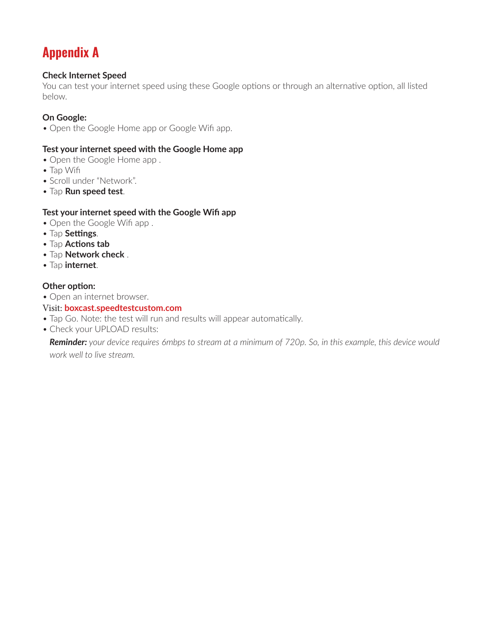# **Appendix A**

## **Check Internet Speed**

You can test your internet speed using these Google options or through an alternative option, all listed below.

## **On Google:**

• Open the Google Home app or Google Wifi app.

#### **Test your internet speed with the Google Home app**

- Open the Google Home app .
- Tap Wifi
- Scroll under "Network".
- Tap **Run speed test**.

#### **Test your internet speed with the Google Wifi app**

- Open the Google Wifi app.
- Tap **Settings**.
- Tap **Actions tab**
- Tap **Network check** .
- Tap **internet**.

#### **Other option:**

• Open an internet browser.

#### Visit: **boxcast.speedtestcustom.com**

- Tap Go. Note: the test will run and results will appear automatically.
- Check your UPLOAD results:

*Reminder: your device requires 6mbps to stream at a minimum of 720p. So, in this example, this device would work well to live stream.*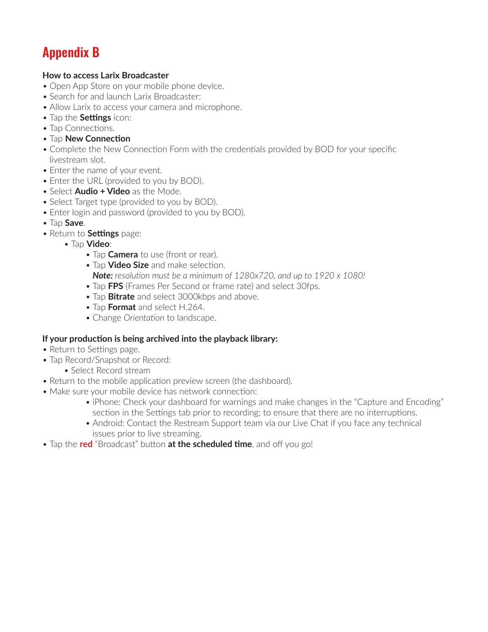# **Appendix B**

#### **How to access Larix Broadcaster**

- Open App Store on your mobile phone device.
- Search for and launch Larix Broadcaster:
- Allow Larix to access your camera and microphone.
- Tap the **Settings** icon:
- Tap Connections.
- Tap **New Connection**
- Complete the New Connection Form with the credentials provided by BOD for your specific livestream slot.
- Enter the name of your event.
- Enter the URL (provided to you by BOD).
- Select **Audio + Video** as the Mode.
- Select Target type (provided to you by BOD).
- Enter login and password (provided to you by BOD).
- Tap **Save**.
- Return to **Settings** page:
	- Tap **Video**:
		- Tap **Camera** to use (front or rear).
		- Tap **Video Size** and make selection. *Note: resolution must be a minimum of 1280x720, and up to 1920 x 1080!*
		- Tap **FPS** (Frames Per Second or frame rate) and select 30fps.
		- Tap **Bitrate** and select 3000kbps and above.
		- Tap **Format** and select H.264.
		- Change *Orientation* to landscape.

## **If your production is being archived into the playback library:**

- Return to Settings page.
- Tap Record/Snapshot or Record:
	- Select Record stream
- Return to the mobile application preview screen (the dashboard).
- Make sure your mobile device has network connection:
	- iPhone: Check your dashboard for warnings and make changes in the "Capture and Encoding" section in the Settings tab prior to recording; to ensure that there are no interruptions.
	- Android: Contact the Restream Support team via our Live Chat if you face any technical issues prior to live streaming.
- Tap the **red** "Broadcast" button **at the scheduled time**, and off you go!